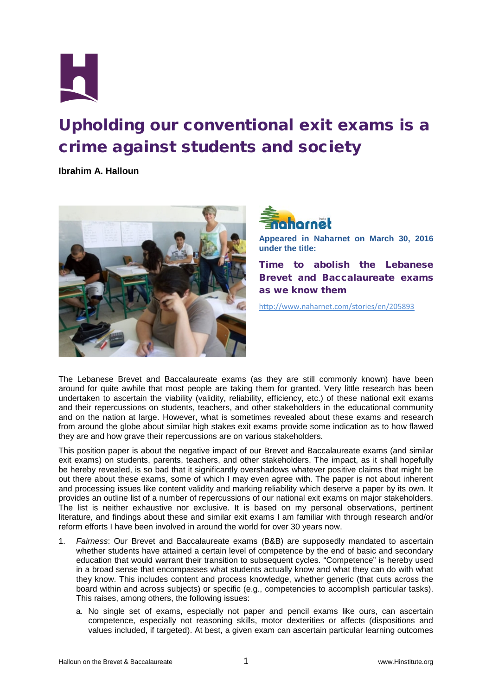

## Upholding our conventional exit exams is a crime against students and society

**Ibrahim A. Halloun**





**Appeared in Naharnet on March 30, 2016 under the title:**

Time to abolish the Lebanese Brevet and Baccalaureate exams as we know them

<http://www.naharnet.com/stories/en/205893>

The Lebanese Brevet and Baccalaureate exams (as they are still commonly known) have been around for quite awhile that most people are taking them for granted. Very little research has been undertaken to ascertain the viability (validity, reliability, efficiency, etc.) of these national exit exams and their repercussions on students, teachers, and other stakeholders in the educational community and on the nation at large. However, what is sometimes revealed about these exams and research from around the globe about similar high stakes exit exams provide some indication as to how flawed they are and how grave their repercussions are on various stakeholders.

This position paper is about the negative impact of our Brevet and Baccalaureate exams (and similar exit exams) on students, parents, teachers, and other stakeholders. The impact, as it shall hopefully be hereby revealed, is so bad that it significantly overshadows whatever positive claims that might be out there about these exams, some of which I may even agree with. The paper is not about inherent and processing issues like content validity and marking reliability which deserve a paper by its own. It provides an outline list of a number of repercussions of our national exit exams on major stakeholders. The list is neither exhaustive nor exclusive. It is based on my personal observations, pertinent literature, and findings about these and similar exit exams I am familiar with through research and/or reform efforts I have been involved in around the world for over 30 years now.

- 1. *Fairness*: Our Brevet and Baccalaureate exams (B&B) are supposedly mandated to ascertain whether students have attained a certain level of competence by the end of basic and secondary education that would warrant their transition to subsequent cycles. "Competence" is hereby used in a broad sense that encompasses what students actually know and what they can do with what they know. This includes content and process knowledge, whether generic (that cuts across the board within and across subjects) or specific (e.g., competencies to accomplish particular tasks). This raises, among others, the following issues:
	- a. No single set of exams, especially not paper and pencil exams like ours, can ascertain competence, especially not reasoning skills, motor dexterities or affects (dispositions and values included, if targeted). At best, a given exam can ascertain particular learning outcomes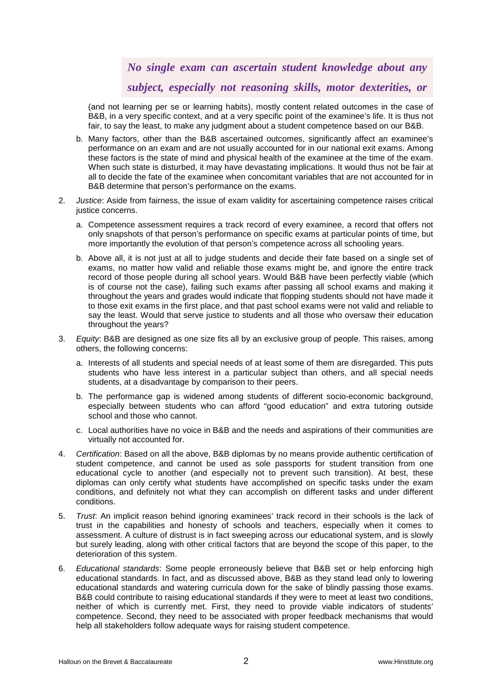## *No single exam can ascertain student knowledge about any subject, especially not reasoning skills, motor dexterities, or*

(and not learning per se or learning habits), mostly content related outcomes in the case of B&B, in a very specific context, and at a very specific point of the examinee's life. It is thus not fair, to say the least, to make any judgment about a student competence based on our B&B.

- b. Many factors, other than the B&B ascertained outcomes, significantly affect an examinee's performance on an exam and are not usually accounted for in our national exit exams. Among these factors is the state of mind and physical health of the examinee at the time of the exam. When such state is disturbed, it may have devastating implications. It would thus not be fair at all to decide the fate of the examinee when concomitant variables that are not accounted for in B&B determine that person's performance on the exams.
- 2. *Justice*: Aside from fairness, the issue of exam validity for ascertaining competence raises critical justice concerns.
	- a. Competence assessment requires a track record of every examinee, a record that offers not only snapshots of that person's performance on specific exams at particular points of time, but more importantly the evolution of that person's competence across all schooling years.
	- b. Above all, it is not just at all to judge students and decide their fate based on a single set of exams, no matter how valid and reliable those exams might be, and ignore the entire track record of those people during all school years. Would B&B have been perfectly viable (which is of course not the case), failing such exams after passing all school exams and making it throughout the years and grades would indicate that flopping students should not have made it to those exit exams in the first place, and that past school exams were not valid and reliable to say the least. Would that serve justice to students and all those who oversaw their education throughout the years?
- 3. *Equity*: B&B are designed as one size fits all by an exclusive group of people. This raises, among others, the following concerns:
	- a. Interests of all students and special needs of at least some of them are disregarded. This puts students who have less interest in a particular subject than others, and all special needs students, at a disadvantage by comparison to their peers.
	- b. The performance gap is widened among students of different socio-economic background, especially between students who can afford "good education" and extra tutoring outside school and those who cannot.
	- c. Local authorities have no voice in B&B and the needs and aspirations of their communities are virtually not accounted for.
- 4. *Certification*: Based on all the above, B&B diplomas by no means provide authentic certification of student competence, and cannot be used as sole passports for student transition from one educational cycle to another (and especially not to prevent such transition). At best, these diplomas can only certify what students have accomplished on specific tasks under the exam conditions, and definitely not what they can accomplish on different tasks and under different conditions.
- 5. *Trust*: An implicit reason behind ignoring examinees' track record in their schools is the lack of trust in the capabilities and honesty of schools and teachers, especially when it comes to assessment. A culture of distrust is in fact sweeping across our educational system, and is slowly but surely leading, along with other critical factors that are beyond the scope of this paper, to the deterioration of this system.
- 6. *Educational standards*: Some people erroneously believe that B&B set or help enforcing high educational standards. In fact, and as discussed above, B&B as they stand lead only to lowering educational standards and watering curricula down for the sake of blindly passing those exams. B&B could contribute to raising educational standards if they were to meet at least two conditions, neither of which is currently met. First, they need to provide viable indicators of students' competence. Second, they need to be associated with proper feedback mechanisms that would help all stakeholders follow adequate ways for raising student competence.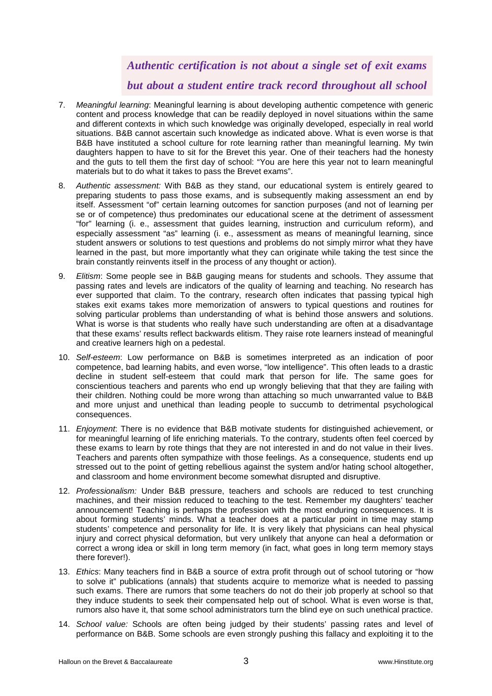## *Authentic certification is not about a single set of exit exams but about a student entire track record throughout all school*

- 7. *Meaningful learning*: Meaningful learning is about developing authentic competence with generic content and process knowledge that can be readily deployed in novel situations within the same and different contexts in which such knowledge was originally developed, especially in real world situations. B&B cannot ascertain such knowledge as indicated above. What is even worse is that B&B have instituted a school culture for rote learning rather than meaningful learning. My twin daughters happen to have to sit for the Brevet this year. One of their teachers had the honesty and the guts to tell them the first day of school: "You are here this year not to learn meaningful materials but to do what it takes to pass the Brevet exams".
- 8. *Authentic assessment:* With B&B as they stand, our educational system is entirely geared to preparing students to pass those exams, and is subsequently making assessment an end by itself. Assessment "of" certain learning outcomes for sanction purposes (and not of learning per se or of competence) thus predominates our educational scene at the detriment of assessment "for" learning (i. e., assessment that guides learning, instruction and curriculum reform), and especially assessment "as" learning (i. e., assessment as means of meaningful learning, since student answers or solutions to test questions and problems do not simply mirror what they have learned in the past, but more importantly what they can originate while taking the test since the brain constantly reinvents itself in the process of any thought or action).
- 9. *Elitism*: Some people see in B&B gauging means for students and schools. They assume that passing rates and levels are indicators of the quality of learning and teaching. No research has ever supported that claim. To the contrary, research often indicates that passing typical high stakes exit exams takes more memorization of answers to typical questions and routines for solving particular problems than understanding of what is behind those answers and solutions. What is worse is that students who really have such understanding are often at a disadvantage that these exams' results reflect backwards elitism. They raise rote learners instead of meaningful and creative learners high on a pedestal.
- 10. *Self-esteem*: Low performance on B&B is sometimes interpreted as an indication of poor competence, bad learning habits, and even worse, "low intelligence". This often leads to a drastic decline in student self-esteem that could mark that person for life. The same goes for conscientious teachers and parents who end up wrongly believing that that they are failing with their children. Nothing could be more wrong than attaching so much unwarranted value to B&B and more unjust and unethical than leading people to succumb to detrimental psychological consequences.
- 11. *Enjoyment*: There is no evidence that B&B motivate students for distinguished achievement, or for meaningful learning of life enriching materials. To the contrary, students often feel coerced by these exams to learn by rote things that they are not interested in and do not value in their lives. Teachers and parents often sympathize with those feelings. As a consequence, students end up stressed out to the point of getting rebellious against the system and/or hating school altogether, and classroom and home environment become somewhat disrupted and disruptive.
- 12. *Professionalism:* Under B&B pressure, teachers and schools are reduced to test crunching machines, and their mission reduced to teaching to the test. Remember my daughters' teacher announcement! Teaching is perhaps the profession with the most enduring consequences. It is about forming students' minds. What a teacher does at a particular point in time may stamp students' competence and personality for life. It is very likely that physicians can heal physical injury and correct physical deformation, but very unlikely that anyone can heal a deformation or correct a wrong idea or skill in long term memory (in fact, what goes in long term memory stays there forever!).
- 13. *Ethics*: Many teachers find in B&B a source of extra profit through out of school tutoring or "how to solve it" publications (annals) that students acquire to memorize what is needed to passing such exams. There are rumors that some teachers do not do their job properly at school so that they induce students to seek their compensated help out of school. What is even worse is that, rumors also have it, that some school administrators turn the blind eye on such unethical practice.
- 14. *School value:* Schools are often being judged by their students' passing rates and level of performance on B&B. Some schools are even strongly pushing this fallacy and exploiting it to the